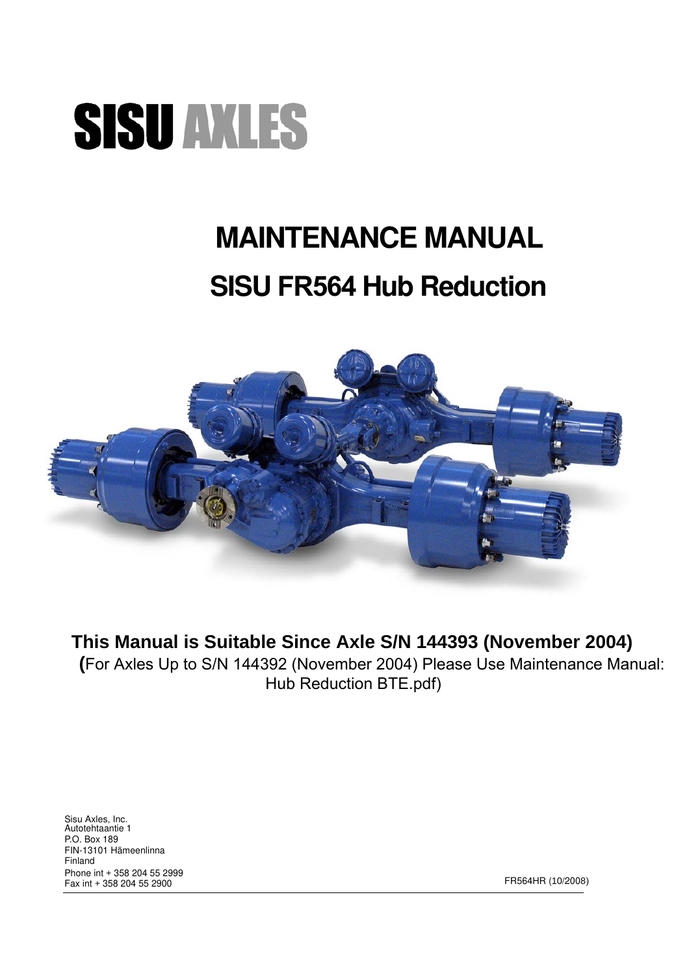

# **MAINTENANCE MANUAL SISU FR564 Hub Reduction**



**This Manual is Suitable Since Axle S/N 144393 (November 2004)** 

**(**For Axles Up to S/N 144392 (November 2004) Please Use Maintenance Manual: Hub Reduction BTE.pdf)

Sisu Axles, Inc. Autotehtaantie 1 P.O. Box 189 FIN-13101 Hämeenlinna Phone int + 358 204 55 2999 Fax int + 358 204 55 2900 Finland

FR564HR (10/2008)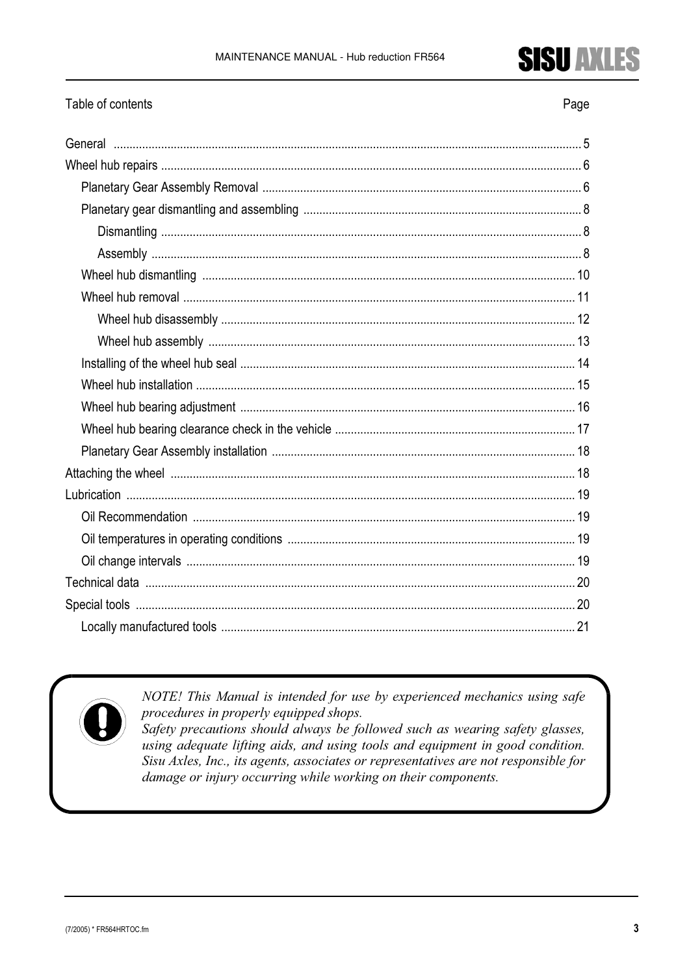Page

#### Table of contents



NOTE! This Manual is intended for use by experienced mechanics using safe procedures in properly equipped shops.

Safety precautions should always be followed such as wearing safety glasses, using adequate lifting aids, and using tools and equipment in good condition. Sisu Axles, Inc., its agents, associates or representatives are not responsible for damage or injury occurring while working on their components.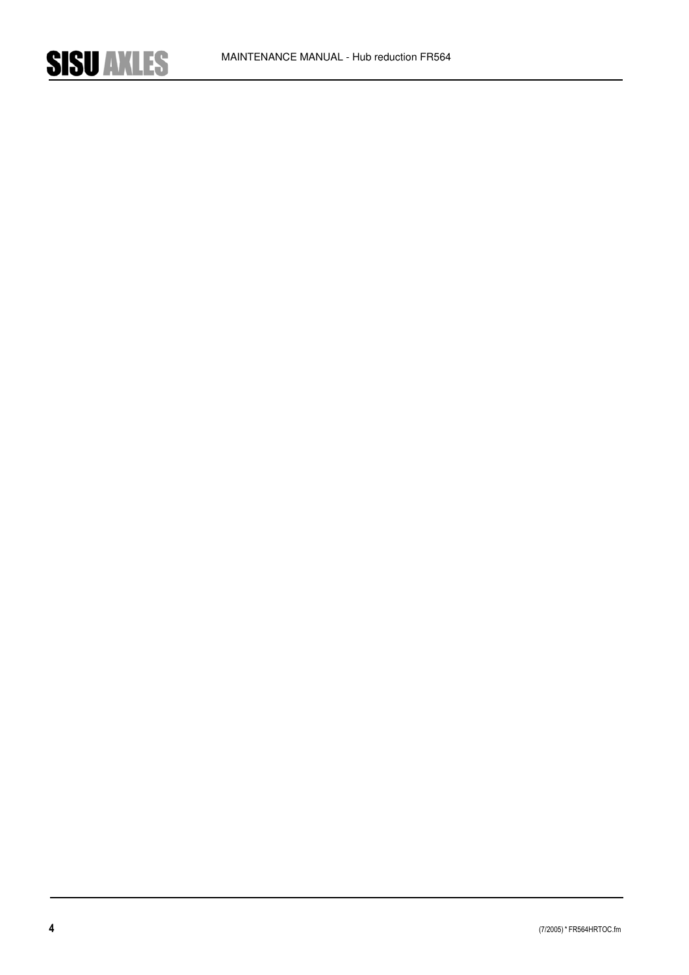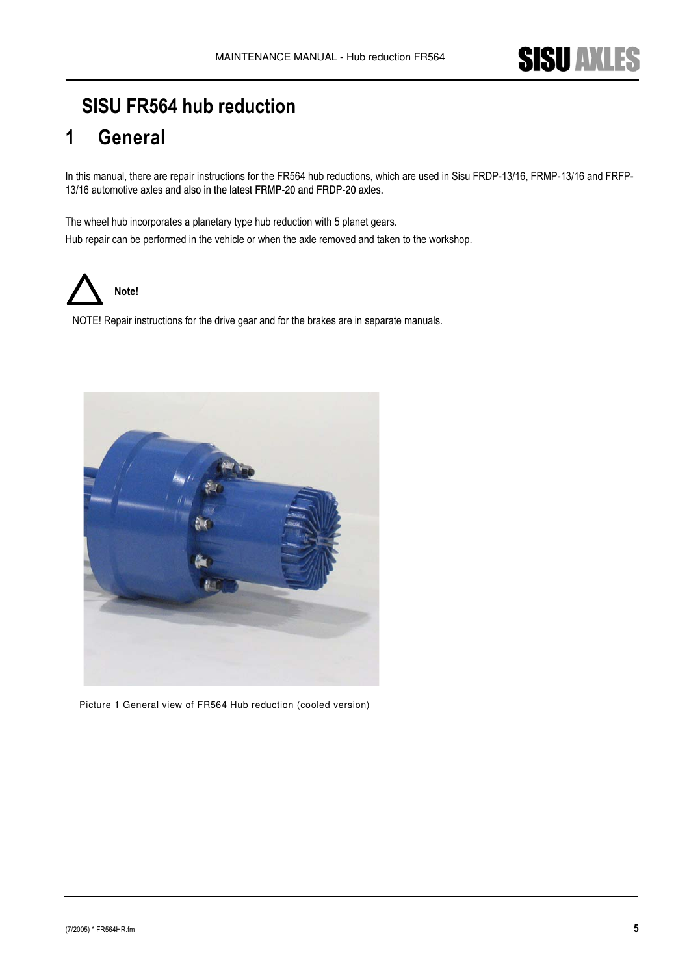# **SISU FR564 hub reduction**

## **1 General**

In this manual, there are repair instructions for the FR564 hub reductions, which are used in Sisu FRDP-13/16, FRMP-13/16 and FRFP-13/16 automotive axles and also in the latest FRMP-20 and FRDP-20 axles.

The wheel hub incorporates a planetary type hub reduction with 5 planet gears. Hub repair can be performed in the vehicle or when the axle removed and taken to the workshop.



NOTE! Repair instructions for the drive gear and for the brakes are in separate manuals.



Picture 1 General view of FR564 Hub reduction (cooled version)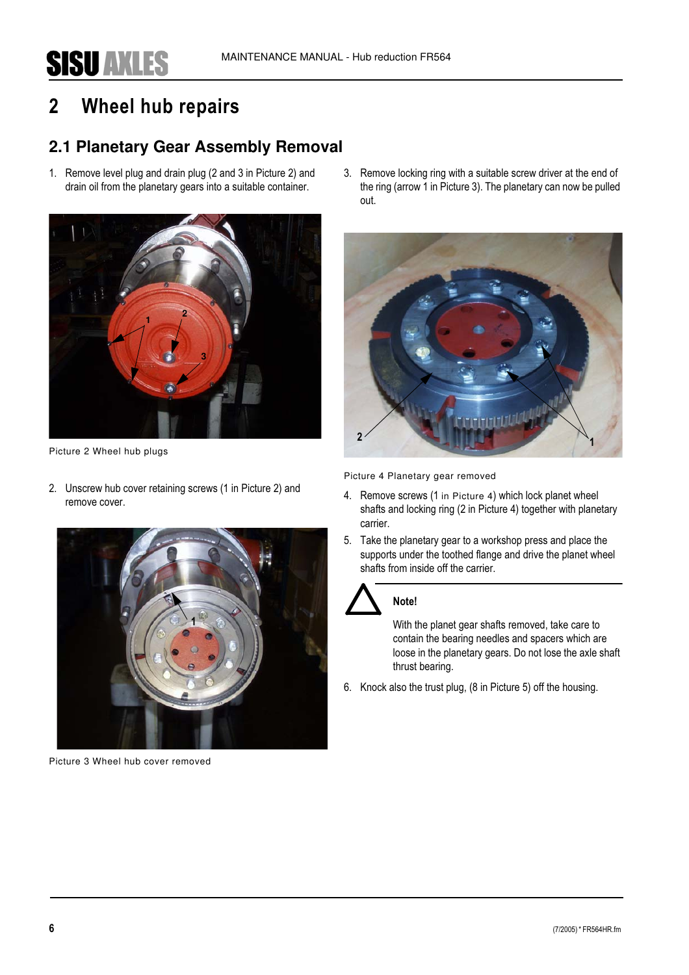## **2 Wheel hub repairs**

## **2.1 Planetary Gear Assembly Removal**

1. Remove level plug and drain plug (2 and 3 in Picture 2) and drain oil from the planetary gears into a suitable container.



Picture 2 Wheel hub plugs

2. Unscrew hub cover retaining screws (1 in Picture 2) and remove cover.



Picture 3 Wheel hub cover removed

3. Remove locking ring with a suitable screw driver at the end of the ring (arrow 1 in Picture 3). The planetary can now be pulled out.



Picture 4 Planetary gear removed

- 4. Remove screws (1 in Picture 4) which lock planet wheel shafts and locking ring (2 in Picture 4) together with planetary carrier.
- 5. Take the planetary gear to a workshop press and place the supports under the toothed flange and drive the planet wheel shafts from inside off the carrier.



#### **Note!**

With the planet gear shafts removed, take care to contain the bearing needles and spacers which are loose in the planetary gears. Do not lose the axle shaft thrust bearing.

6. Knock also the trust plug, (8 in Picture 5) off the housing.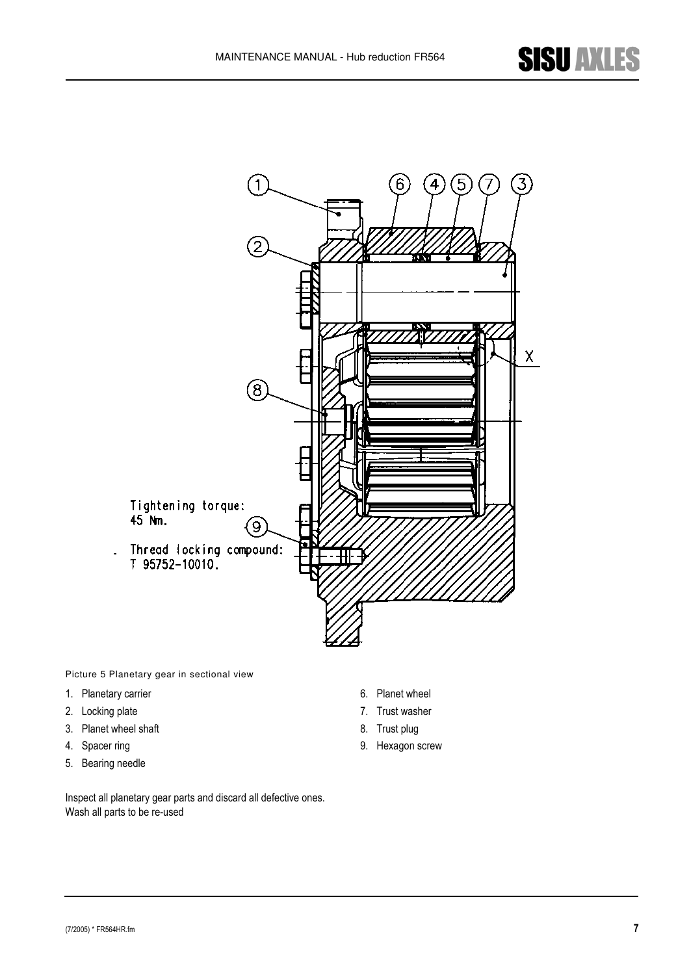

Picture 5 Planetary gear in sectional view

- 1. Planetary carrier
- 2. Locking plate
- 3. Planet wheel shaft
- 4. Spacer ring
- 5. Bearing needle

Inspect all planetary gear parts and discard all defective ones. Wash all parts to be re-used

- 6. Planet wheel
- 7. Trust washer
- 8. Trust plug
- 9. Hexagon screw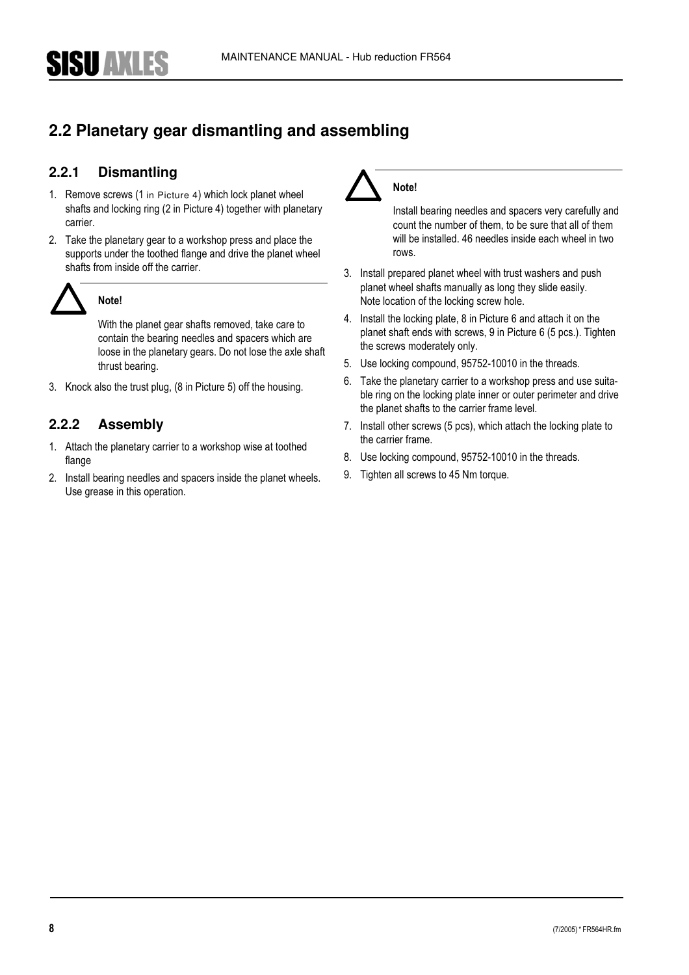## **2.2 Planetary gear dismantling and assembling**

#### **2.2.1 Dismantling**

- 1. Remove screws (1 in Picture 4) which lock planet wheel shafts and locking ring (2 in Picture 4) together with planetary carrier.
- 2. Take the planetary gear to a workshop press and place the supports under the toothed flange and drive the planet wheel shafts from inside off the carrier.



#### **Note!**

With the planet gear shafts removed, take care to contain the bearing needles and spacers which are loose in the planetary gears. Do not lose the axle shaft thrust bearing.

3. Knock also the trust plug, (8 in Picture 5) off the housing.

#### **2.2.2 Assembly**

- 1. Attach the planetary carrier to a workshop wise at toothed flange
- 2. Install bearing needles and spacers inside the planet wheels. Use grease in this operation.



### **Note!**

Install bearing needles and spacers very carefully and count the number of them, to be sure that all of them will be installed. 46 needles inside each wheel in two rows.

- 3. Install prepared planet wheel with trust washers and push planet wheel shafts manually as long they slide easily. Note location of the locking screw hole.
- 4. Install the locking plate, 8 in Picture 6 and attach it on the planet shaft ends with screws, 9 in Picture 6 (5 pcs.). Tighten the screws moderately only.
- 5. Use locking compound, 95752-10010 in the threads.
- 6. Take the planetary carrier to a workshop press and use suitable ring on the locking plate inner or outer perimeter and drive the planet shafts to the carrier frame level.
- 7. Install other screws (5 pcs), which attach the locking plate to the carrier frame.
- 8. Use locking compound, 95752-10010 in the threads.
- 9. Tighten all screws to 45 Nm torque.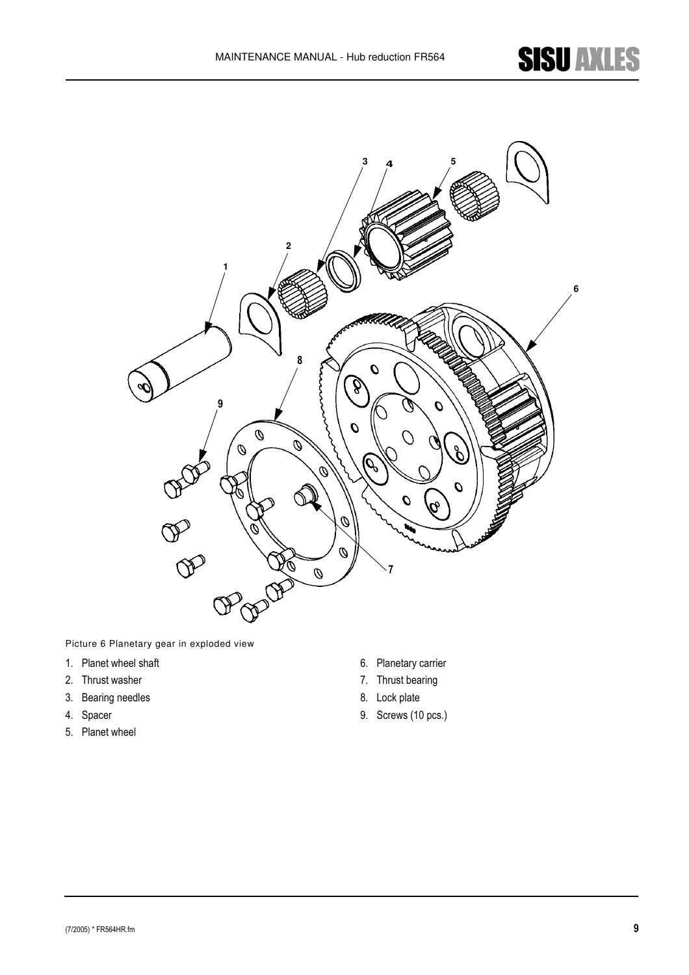

Picture 6 Planetary gear in exploded view

- 1. Planet wheel shaft
- 2. Thrust washer
- 3. Bearing needles
- 4. Spacer
- 5. Planet wheel
- 6. Planetary carrier
- 7. Thrust bearing
- 8. Lock plate
- 9. Screws (10 pcs.)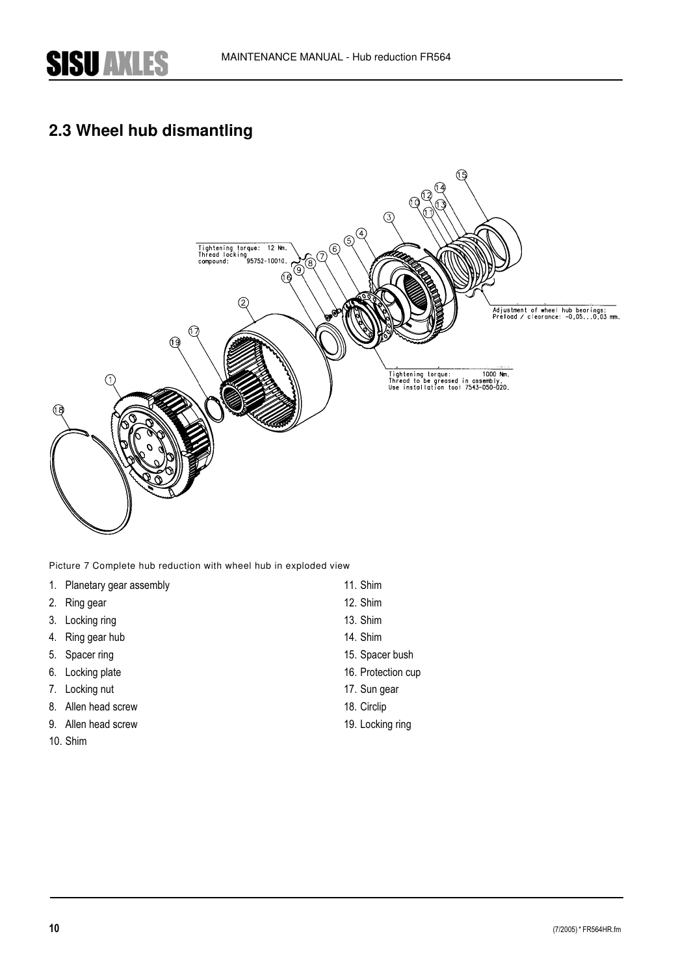## **2.3 Wheel hub dismantling**

**SISU AXLES** 



Picture 7 Complete hub reduction with wheel hub in exploded view

- 1. Planetary gear assembly
- 2. Ring gear
- 3. Locking ring
- 4. Ring gear hub
- 5. Spacer ring
- 6. Locking plate
- 7. Locking nut
- 8. Allen head screw
- 9. Allen head screw
- 10. Shim
- 11. Shim 12. Shim
- 13. Shim
- 14. Shim
- 15. Spacer bush
- 16. Protection cup
- 17. Sun gear
- 18. Circlip
- 19. Locking ring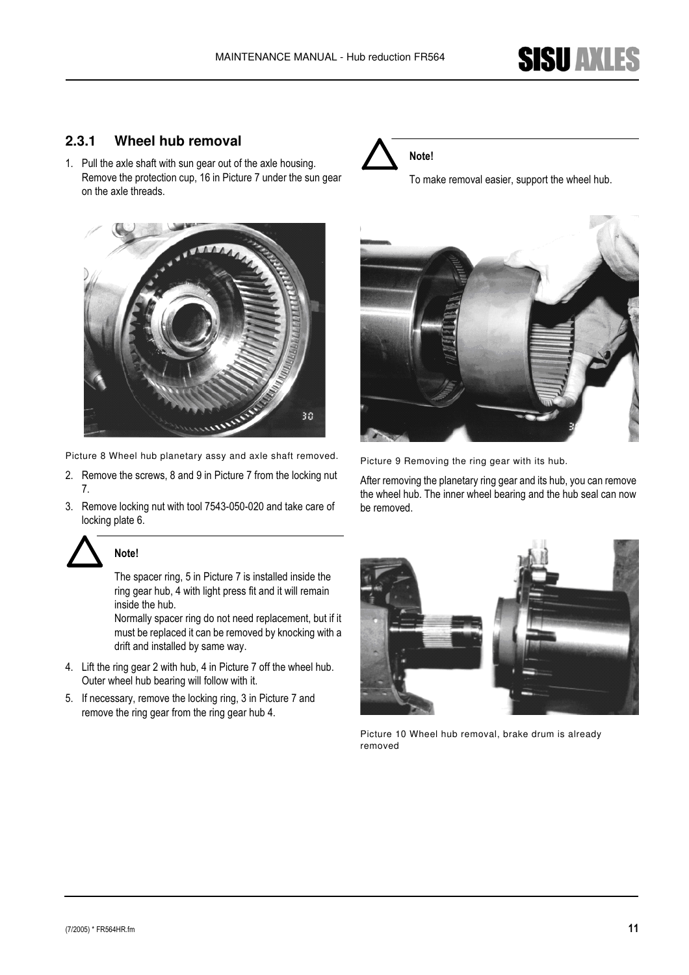#### **2.3.1 Wheel hub removal**

1. Pull the axle shaft with sun gear out of the axle housing. Remove the protection cup, 16 in Picture 7 under the sun gear on the axle threads.



To make removal easier, support the wheel hub.



Picture 8 Wheel hub planetary assy and axle shaft removed.

- 2. Remove the screws, 8 and 9 in Picture 7 from the locking nut 7.
- 3. Remove locking nut with tool 7543-050-020 and take care of locking plate 6.



Picture 9 Removing the ring gear with its hub.

After removing the planetary ring gear and its hub, you can remove the wheel hub. The inner wheel bearing and the hub seal can now be removed.



### **Note!**

The spacer ring, 5 in Picture 7 is installed inside the ring gear hub, 4 with light press fit and it will remain inside the hub.

Normally spacer ring do not need replacement, but if it must be replaced it can be removed by knocking with a drift and installed by same way.

- 4. Lift the ring gear 2 with hub, 4 in Picture 7 off the wheel hub. Outer wheel hub bearing will follow with it.
- 5. If necessary, remove the locking ring, 3 in Picture 7 and remove the ring gear from the ring gear hub 4.



Picture 10 Wheel hub removal, brake drum is already removed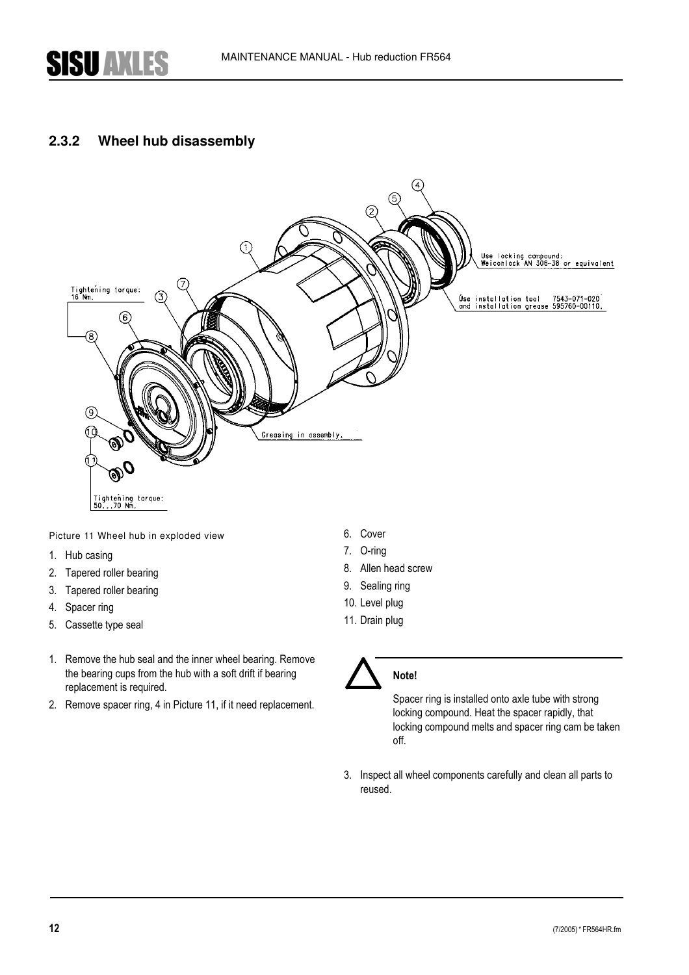#### **2.3.2 Wheel hub disassembly**



Picture 11 Wheel hub in exploded view

- 1. Hub casing
- 2. Tapered roller bearing
- 3. Tapered roller bearing
- 4. Spacer ring
- 5. Cassette type seal
- 1. Remove the hub seal and the inner wheel bearing. Remove the bearing cups from the hub with a soft drift if bearing replacement is required.
- 2. Remove spacer ring, 4 in Picture 11, if it need replacement.
- 6. Cover
- 7. O-ring
- 8. Allen head screw
- 9. Sealing ring
- 10. Level plug
- 11. Drain plug



#### **Note!**

Spacer ring is installed onto axle tube with strong locking compound. Heat the spacer rapidly, that locking compound melts and spacer ring cam be taken off.

3. Inspect all wheel components carefully and clean all parts to reused.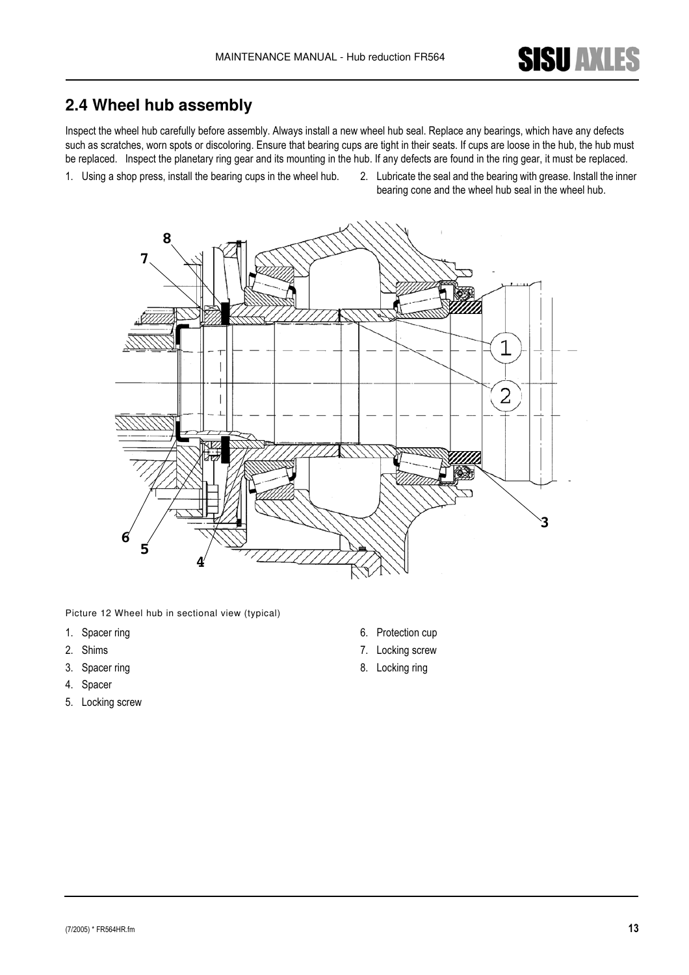### **2.4 Wheel hub assembly**

Inspect the wheel hub carefully before assembly. Always install a new wheel hub seal. Replace any bearings, which have any defects such as scratches, worn spots or discoloring. Ensure that bearing cups are tight in their seats. If cups are loose in the hub, the hub must be replaced. Inspect the planetary ring gear and its mounting in the hub. If any defects are found in the ring gear, it must be replaced.

1. Using a shop press, install the bearing cups in the wheel hub. 2. Lubricate the seal and the bearing with grease. Install the inner bearing cone and the wheel hub seal in the wheel hub.



Picture 12 Wheel hub in sectional view (typical)

- 1. Spacer ring
- 2. Shims
- 3. Spacer ring
- 4. Spacer
- 5. Locking screw
- 6. Protection cup
- 7. Locking screw
- 8. Locking ring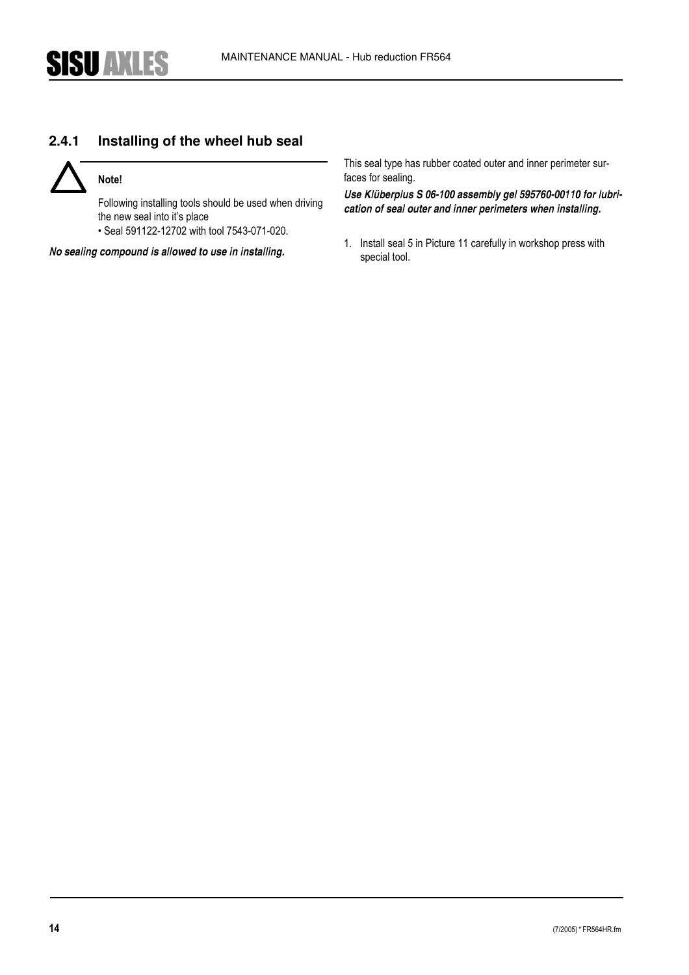#### **2.4.1 Installing of the wheel hub seal**

# **Note!**

Following installing tools should be used when driving the new seal into it's place • Seal 591122-12702 with tool 7543-071-020.

*No sealing compound is allowed to use in installing.*

This seal type has rubber coated outer and inner perimeter surfaces for sealing.

*Use Klüberplus S 06-100 assembly gel 595760-00110 for lubrication of seal outer and inner perimeters when installing.*

1. Install seal 5 in Picture 11 carefully in workshop press with special tool.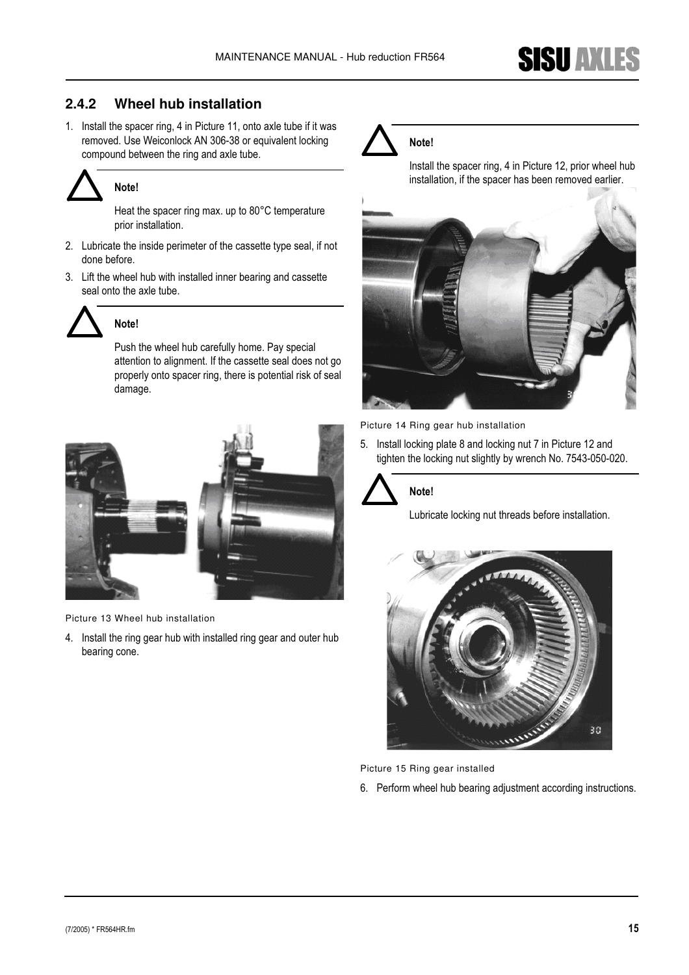#### **2.4.2 Wheel hub installation**

1. Install the spacer ring, 4 in Picture 11, onto axle tube if it was removed. Use Weiconlock AN 306-38 or equivalent locking compound between the ring and axle tube.



#### **Note!**

Heat the spacer ring max. up to 80°C temperature prior installation.

- 2. Lubricate the inside perimeter of the cassette type seal, if not done before.
- 3. Lift the wheel hub with installed inner bearing and cassette seal onto the axle tube.



#### **Note!**

Push the wheel hub carefully home. Pay special attention to alignment. If the cassette seal does not go properly onto spacer ring, there is potential risk of seal damage.



Picture 13 Wheel hub installation

4. Install the ring gear hub with installed ring gear and outer hub bearing cone.



## **Note!**

Install the spacer ring, 4 in Picture 12, prior wheel hub installation, if the spacer has been removed earlier.



Picture 14 Ring gear hub installation

5. Install locking plate 8 and locking nut 7 in Picture 12 and tighten the locking nut slightly by wrench No. 7543-050-020.



Lubricate locking nut threads before installation.



Picture 15 Ring gear installed

6. Perform wheel hub bearing adjustment according instructions.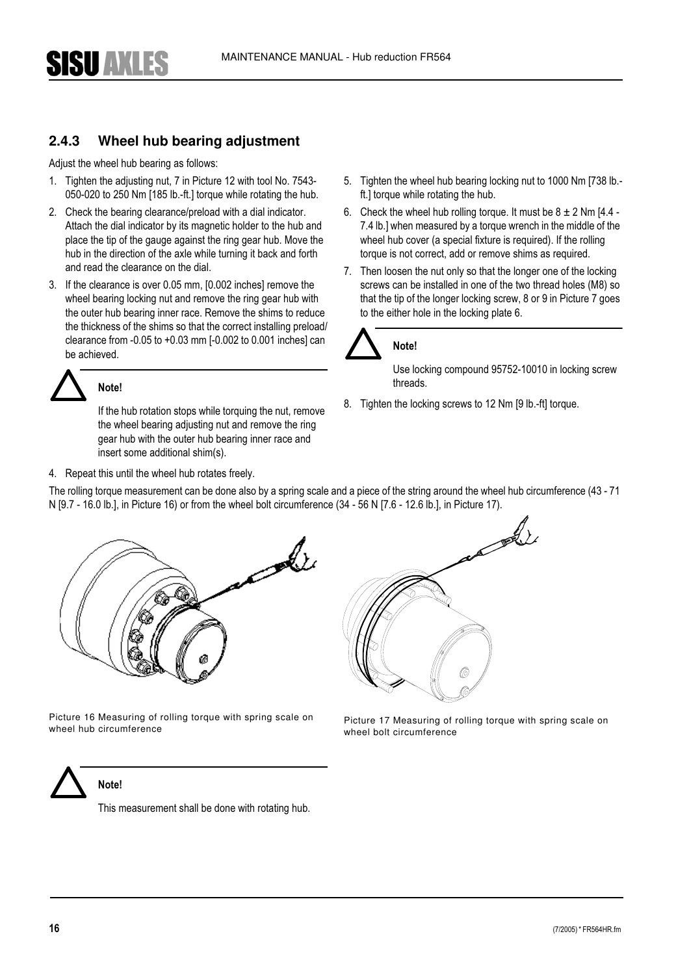#### **2.4.3 Wheel hub bearing adjustment**

Adjust the wheel hub bearing as follows:

- 1. Tighten the adjusting nut, 7 in Picture 12 with tool No. 7543- 050-020 to 250 Nm [185 lb.-ft.] torque while rotating the hub.
- 2. Check the bearing clearance/preload with a dial indicator. Attach the dial indicator by its magnetic holder to the hub and place the tip of the gauge against the ring gear hub. Move the hub in the direction of the axle while turning it back and forth and read the clearance on the dial.
- 3. If the clearance is over 0.05 mm, [0.002 inches] remove the wheel bearing locking nut and remove the ring gear hub with the outer hub bearing inner race. Remove the shims to reduce the thickness of the shims so that the correct installing preload/ clearance from -0.05 to +0.03 mm [-0.002 to 0.001 inches] can be achieved.



#### **Note!**

If the hub rotation stops while torquing the nut, remove the wheel bearing adjusting nut and remove the ring gear hub with the outer hub bearing inner race and insert some additional shim(s).

- 5. Tighten the wheel hub bearing locking nut to 1000 Nm [738 lb. ft.] torque while rotating the hub.
- 6. Check the wheel hub rolling torque. It must be  $8 \pm 2$  Nm [4.4 -7.4 lb.] when measured by a torque wrench in the middle of the wheel hub cover (a special fixture is required). If the rolling torque is not correct, add or remove shims as required.
- 7. Then loosen the nut only so that the longer one of the locking screws can be installed in one of the two thread holes (M8) so that the tip of the longer locking screw, 8 or 9 in Picture 7 goes to the either hole in the locking plate 6.

## **Note!**

Use locking compound 95752-10010 in locking screw threads.

8. Tighten the locking screws to 12 Nm [9 lb.-ft] torque.

4. Repeat this until the wheel hub rotates freely.

The rolling torque measurement can be done also by a spring scale and a piece of the string around the wheel hub circumference (43 - 71 N [9.7 - 16.0 lb.], in Picture 16) or from the wheel bolt circumference (34 - 56 N [7.6 - 12.6 lb.], in Picture 17).



Picture 16 Measuring of rolling torque with spring scale on



Picture 17 Measuring of rolling torque with spring scale on wheel bolt circumference



**Note!**

This measurement shall be done with rotating hub.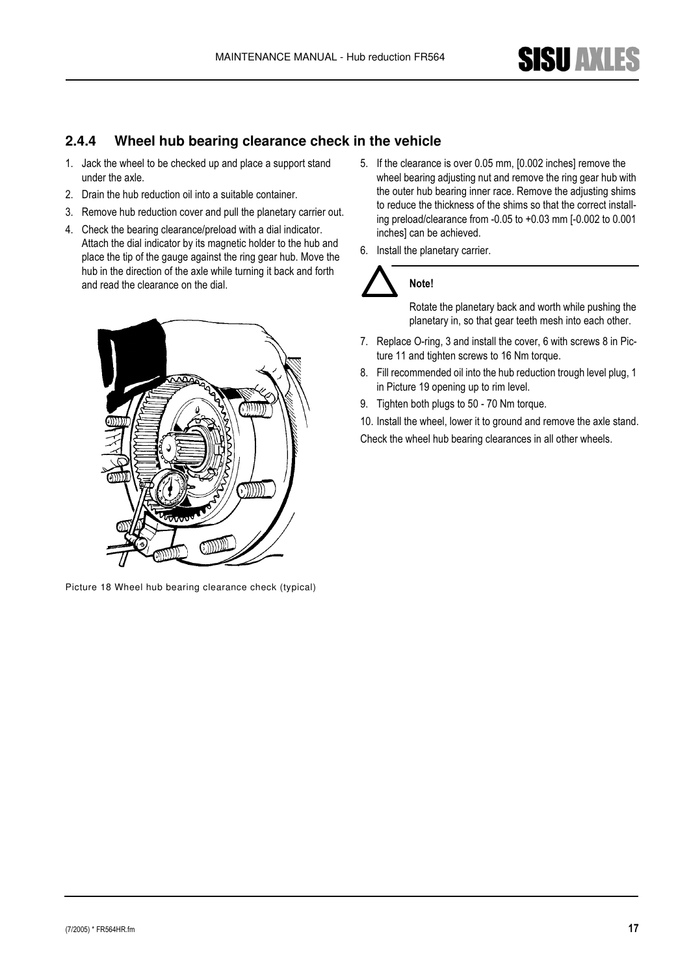#### **2.4.4 Wheel hub bearing clearance check in the vehicle**

- 1. Jack the wheel to be checked up and place a support stand under the axle.
- 2. Drain the hub reduction oil into a suitable container.
- 3. Remove hub reduction cover and pull the planetary carrier out.
- 4. Check the bearing clearance/preload with a dial indicator. Attach the dial indicator by its magnetic holder to the hub and place the tip of the gauge against the ring gear hub. Move the hub in the direction of the axle while turning it back and forth and read the clearance on the dial.



Picture 18 Wheel hub bearing clearance check (typical)

- 5. If the clearance is over 0.05 mm, [0.002 inches] remove the wheel bearing adjusting nut and remove the ring gear hub with the outer hub bearing inner race. Remove the adjusting shims to reduce the thickness of the shims so that the correct installing preload/clearance from -0.05 to +0.03 mm [-0.002 to 0.001 inches] can be achieved.
- 6. Install the planetary carrier.



## **Note!**

Rotate the planetary back and worth while pushing the planetary in, so that gear teeth mesh into each other.

- 7. Replace O-ring, 3 and install the cover, 6 with screws 8 in Picture 11 and tighten screws to 16 Nm torque.
- 8. Fill recommended oil into the hub reduction trough level plug, 1 in Picture 19 opening up to rim level.
- 9. Tighten both plugs to 50 70 Nm torque.

10. Install the wheel, lower it to ground and remove the axle stand. Check the wheel hub bearing clearances in all other wheels.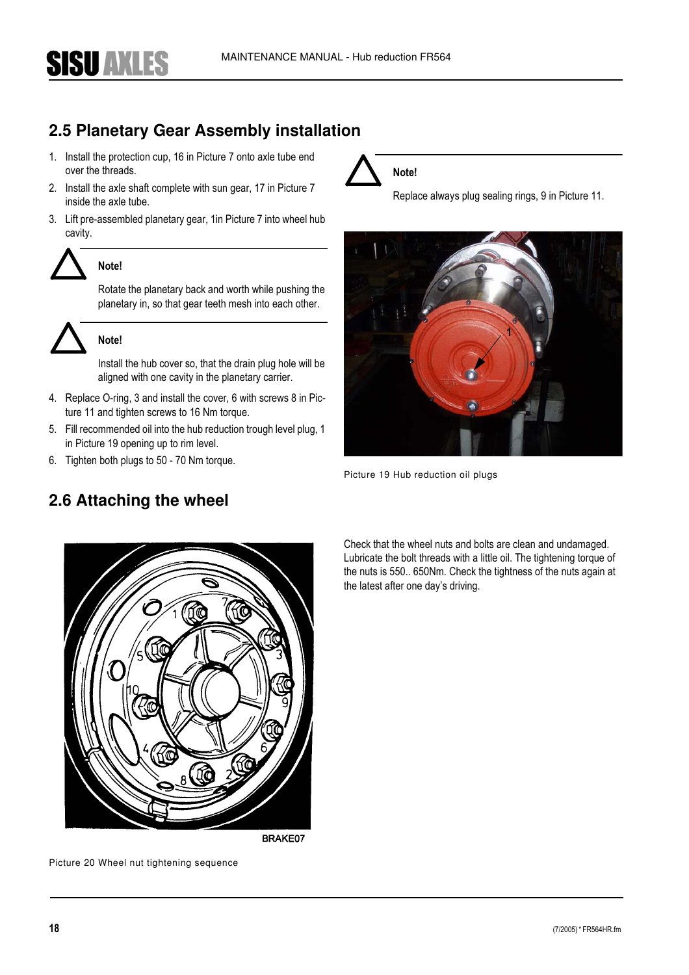## **2.5 Planetary Gear Assembly installation**

- 1. Install the protection cup, 16 in Picture 7 onto axle tube end over the threads.
- 2. Install the axle shaft complete with sun gear, 17 in Picture 7 inside the axle tube.
- 3. Lift pre-assembled planetary gear, 1in Picture 7 into wheel hub cavity.



#### **Note!**

**Note!**

Rotate the planetary back and worth while pushing the planetary in, so that gear teeth mesh into each other.



Install the hub cover so, that the drain plug hole will be aligned with one cavity in the planetary carrier.

- 4. Replace O-ring, 3 and install the cover, 6 with screws 8 in Picture 11 and tighten screws to 16 Nm torque.
- 5. Fill recommended oil into the hub reduction trough level plug, 1 in Picture 19 opening up to rim level.
- 6. Tighten both plugs to 50 70 Nm torque.





Replace always plug sealing rings, 9 in Picture 11.



Picture 19 Hub reduction oil plugs



BRAKE07

Picture 20 Wheel nut tightening sequence

Check that the wheel nuts and bolts are clean and undamaged. Lubricate the bolt threads with a little oil. The tightening torque of the nuts is 550.. 650Nm. Check the tightness of the nuts again at the latest after one day's driving.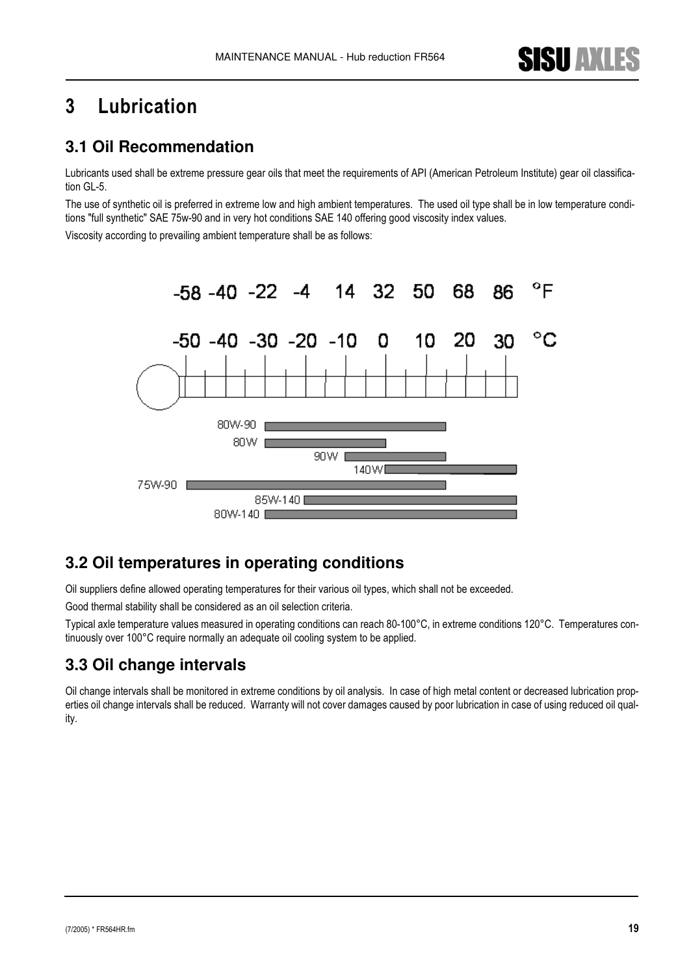## **3 Lubrication**

### **3.1 Oil Recommendation**

Lubricants used shall be extreme pressure gear oils that meet the requirements of API (American Petroleum Institute) gear oil classification GL-5.

The use of synthetic oil is preferred in extreme low and high ambient temperatures. The used oil type shall be in low temperature conditions "full synthetic" SAE 75w-90 and in very hot conditions SAE 140 offering good viscosity index values.

Viscosity according to prevailing ambient temperature shall be as follows:



### **3.2 Oil temperatures in operating conditions**

Oil suppliers define allowed operating temperatures for their various oil types, which shall not be exceeded.

Good thermal stability shall be considered as an oil selection criteria.

Typical axle temperature values measured in operating conditions can reach 80-100°C, in extreme conditions 120°C. Temperatures continuously over 100°C require normally an adequate oil cooling system to be applied.

## **3.3 Oil change intervals**

Oil change intervals shall be monitored in extreme conditions by oil analysis. In case of high metal content or decreased lubrication properties oil change intervals shall be reduced. Warranty will not cover damages caused by poor lubrication in case of using reduced oil quality.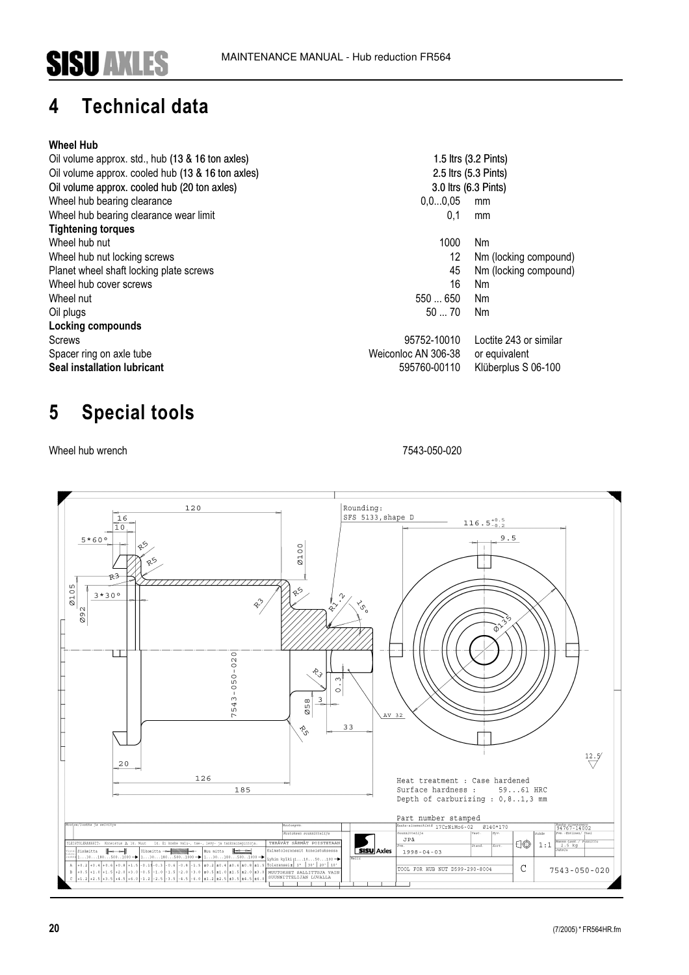## **4 Technical data**

#### **Wheel Hub**

| Oil volume approx. std., hub (13 & 16 ton axles)  |                     | 1.5 ltrs (3.2 Pints)   |  |
|---------------------------------------------------|---------------------|------------------------|--|
| Oil volume approx. cooled hub (13 & 16 ton axles) |                     | 2.5 ltrs (5.3 Pints)   |  |
| Oil volume approx. cooled hub (20 ton axles)      |                     | 3.0 Itrs (6.3 Pints)   |  |
| Wheel hub bearing clearance                       | 0, 00, 05           | mm                     |  |
| Wheel hub bearing clearance wear limit            | 0.1                 | mm                     |  |
| <b>Tightening torques</b>                         |                     |                        |  |
| Wheel hub nut                                     | 1000                | Nm                     |  |
| Wheel hub nut locking screws                      | 12                  | Nm (locking compound)  |  |
| Planet wheel shaft locking plate screws           | 45                  | Nm (locking compound)  |  |
| Wheel hub cover screws                            | 16                  | Nm                     |  |
| Wheel nut                                         | 550650              | Nm                     |  |
| Oil plugs                                         | 5070                | Nm                     |  |
| <b>Locking compounds</b>                          |                     |                        |  |
| Screws                                            | 95752-10010         | Loctite 243 or similar |  |
| Spacer ring on axle tube                          | Weiconloc AN 306-38 | or equivalent          |  |
| Seal installation lubricant                       | 595760-00110        | Klüberplus S 06-100    |  |

## **5 Special tools**

Wheel hub wrench 7543-050-020

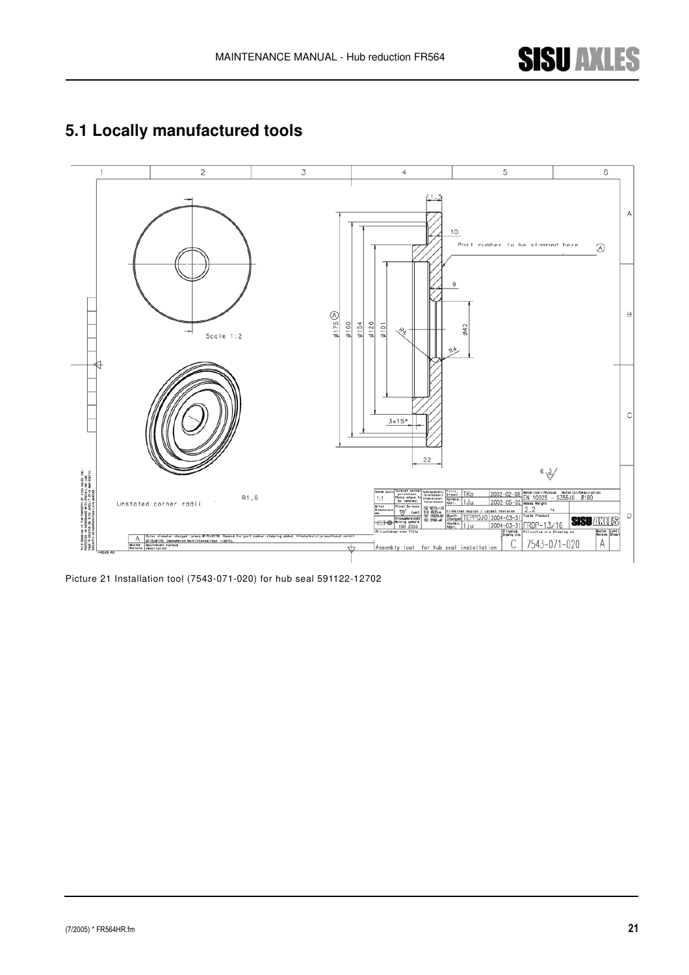

## **5.1 Locally manufactured tools**



Picture 21 Installation tool (7543-071-020) for hub seal 591122-12702